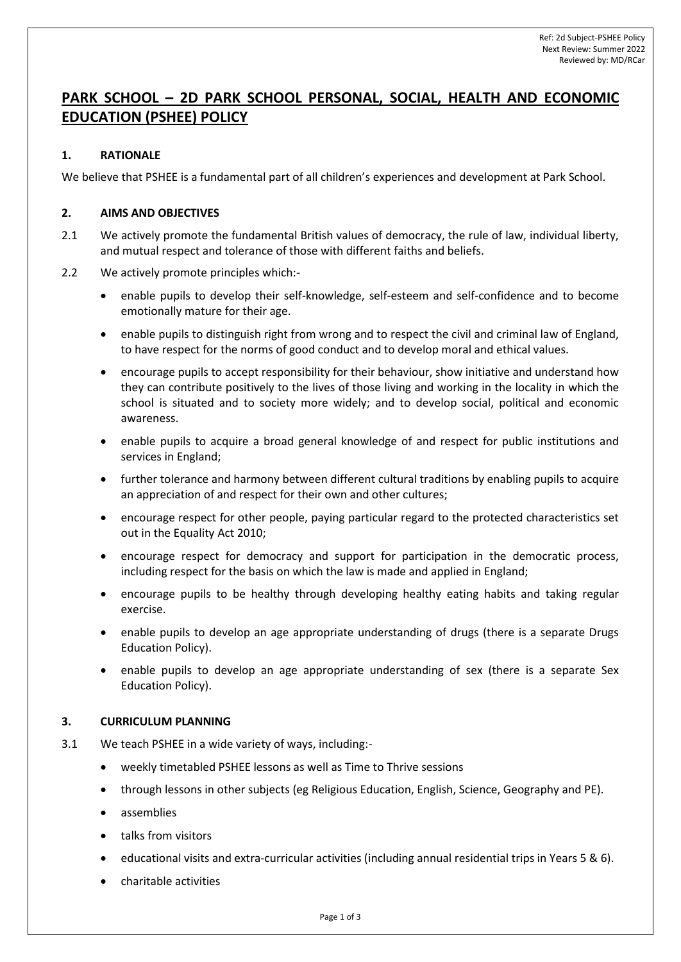# **PARK SCHOOL – 2D PARK SCHOOL PERSONAL, SOCIAL, HEALTH AND ECONOMIC EDUCATION (PSHEE) POLICY**

## **1. RATIONALE**

We believe that PSHEE is a fundamental part of all children's experiences and development at Park School.

## **2. AIMS AND OBJECTIVES**

- 2.1 We actively promote the fundamental British values of democracy, the rule of law, individual liberty, and mutual respect and tolerance of those with different faiths and beliefs.
- 2.2 We actively promote principles which:-
	- enable pupils to develop their self-knowledge, self-esteem and self-confidence and to become emotionally mature for their age.
	- enable pupils to distinguish right from wrong and to respect the civil and criminal law of England, to have respect for the norms of good conduct and to develop moral and ethical values.
	- encourage pupils to accept responsibility for their behaviour, show initiative and understand how they can contribute positively to the lives of those living and working in the locality in which the school is situated and to society more widely; and to develop social, political and economic awareness.
	- enable pupils to acquire a broad general knowledge of and respect for public institutions and services in England;
	- further tolerance and harmony between different cultural traditions by enabling pupils to acquire an appreciation of and respect for their own and other cultures;
	- encourage respect for other people, paying particular regard to the protected characteristics set out in the Equality Act 2010;
	- encourage respect for democracy and support for participation in the democratic process, including respect for the basis on which the law is made and applied in England;
	- encourage pupils to be healthy through developing healthy eating habits and taking regular exercise.
	- enable pupils to develop an age appropriate understanding of drugs (there is a separate Drugs Education Policy).
	- enable pupils to develop an age appropriate understanding of sex (there is a separate Sex Education Policy).

## **3. CURRICULUM PLANNING**

- 3.1 We teach PSHEE in a wide variety of ways, including:
	- weekly timetabled PSHEE lessons as well as Time to Thrive sessions
	- through lessons in other subjects (eg Religious Education, English, Science, Geography and PE).
	- assemblies
	- talks from visitors
	- educational visits and extra-curricular activities (including annual residential trips in Years 5 & 6).
	- charitable activities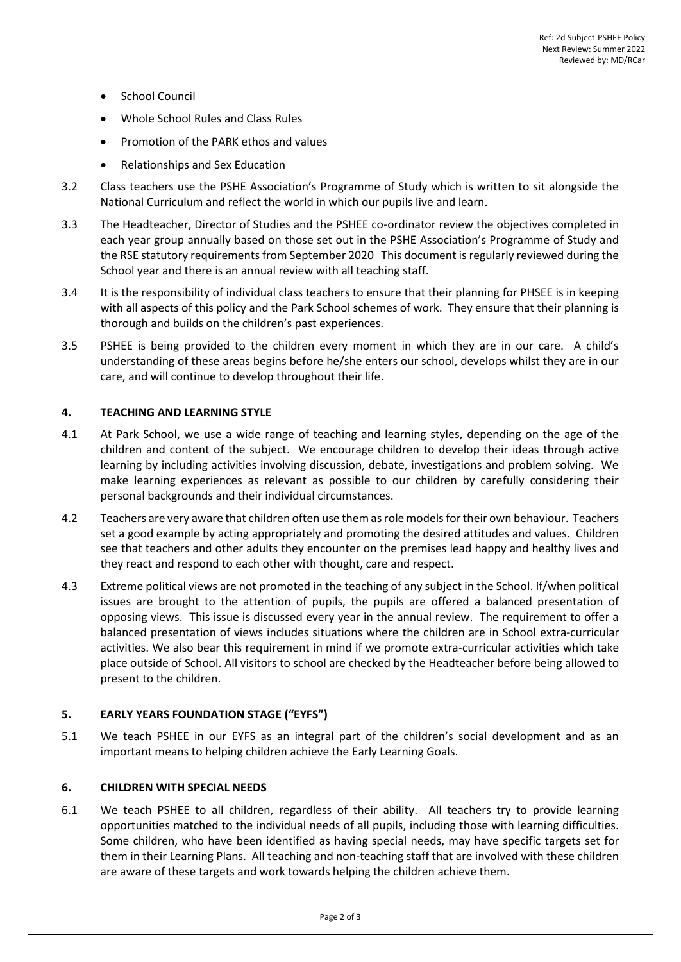- School Council
- Whole School Rules and Class Rules
- Promotion of the PARK ethos and values
- Relationships and Sex Education
- 3.2 Class teachers use the PSHE Association's Programme of Study which is written to sit alongside the National Curriculum and reflect the world in which our pupils live and learn.
- 3.3 The Headteacher, Director of Studies and the PSHEE co-ordinator review the objectives completed in each year group annually based on those set out in the PSHE Association's Programme of Study and the RSE statutory requirements from September 2020 This document is regularly reviewed during the School year and there is an annual review with all teaching staff.
- 3.4 It is the responsibility of individual class teachers to ensure that their planning for PHSEE is in keeping with all aspects of this policy and the Park School schemes of work. They ensure that their planning is thorough and builds on the children's past experiences.
- 3.5 PSHEE is being provided to the children every moment in which they are in our care. A child's understanding of these areas begins before he/she enters our school, develops whilst they are in our care, and will continue to develop throughout their life.

# **4. TEACHING AND LEARNING STYLE**

- 4.1 At Park School, we use a wide range of teaching and learning styles, depending on the age of the children and content of the subject. We encourage children to develop their ideas through active learning by including activities involving discussion, debate, investigations and problem solving. We make learning experiences as relevant as possible to our children by carefully considering their personal backgrounds and their individual circumstances.
- 4.2 Teachers are very aware that children often use them as role models for their own behaviour. Teachers set a good example by acting appropriately and promoting the desired attitudes and values. Children see that teachers and other adults they encounter on the premises lead happy and healthy lives and they react and respond to each other with thought, care and respect.
- 4.3 Extreme political views are not promoted in the teaching of any subject in the School. If/when political issues are brought to the attention of pupils, the pupils are offered a balanced presentation of opposing views. This issue is discussed every year in the annual review. The requirement to offer a balanced presentation of views includes situations where the children are in School extra-curricular activities. We also bear this requirement in mind if we promote extra-curricular activities which take place outside of School. All visitors to school are checked by the Headteacher before being allowed to present to the children.

# **5. EARLY YEARS FOUNDATION STAGE ("EYFS")**

5.1 We teach PSHEE in our EYFS as an integral part of the children's social development and as an important means to helping children achieve the Early Learning Goals.

## **6. CHILDREN WITH SPECIAL NEEDS**

6.1 We teach PSHEE to all children, regardless of their ability. All teachers try to provide learning opportunities matched to the individual needs of all pupils, including those with learning difficulties. Some children, who have been identified as having special needs, may have specific targets set for them in their Learning Plans. All teaching and non-teaching staff that are involved with these children are aware of these targets and work towards helping the children achieve them.